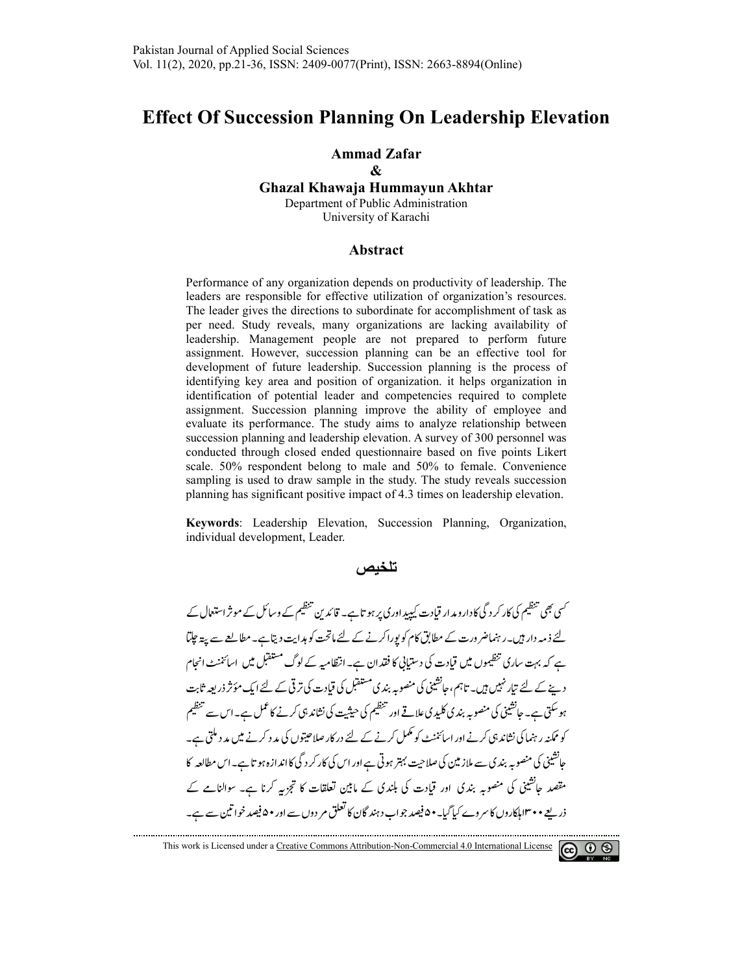# **Effect Of Succession Planning On Leadership Elevation**

### **Ammad Zafar**

### **Ghazal Khawaja Hummayun Akhtar Ghazal Khawaja Hummayun &**  Department of Public Administration

University of Karachi

#### **Abstract**

Performance of any organization depends on productivity of leadership. The leaders are responsible for effective utilization of organization's resources. leaders are responsible for effective utilization of organization's resources.<br>The leader gives the directions to subordinate for accomplishment of task as per need. Study reveals, many organizations are lacking availability of leadership. Management people are not prepared to perform future assignment. However, succession planning can be an effective tool for development of future leadership. Succession planning is the process of identifying key area and position of organization. it helps organization in identification of potential leader and competencies required to complete assignment. Succession planning improve the ability of employee and assignment. Succession planning improve the ability of employee and evaluate its performance. The study aims to analyze relationship between succession planning and leadership elevation. A survey of 300 personnel was conducted through closed ended questionnaire based on five points Likert scale. 50% respondent belong to male and 50% to female. Convenience sampling is used to draw sample in the study. The study reveals succession planning has significant positive impact of 4.3 times on leadership elevation. signment. However, succession planning can be an effective tool for<br>evelopment of future leadership. Succession planning is the process of<br>entifying key area and position of organization. it helps organization in succession planning and leadership elevation. A survey of 300 personnel was conducted through closed ended questionnaire based on five points Likert scale. 50% respondent belong to male and 50% to female. Convenience g is used to draw sample in the study. The study reveals succession<br>g has significant positive impact of 4.3 times on leadership elevation.<br>rds: Leadership Elevation, Succession Planning, Organization, composity of<br>to perform future<br>effective tool for<br>g is the process of<br>lps organization in<br>quired to complete<br>of employee and<br>elationship between

**Keywords**: Leadership Elevation, Succession Planning, Organization, individual development, Leader Leader.

### **تلخیص**

<sup>کس</sup>ی بھی تنظیم کی کار کر دگی کا دارو م*د*ار قیادت کیپیداوری پر ہو تاہے۔ قائد <sub>پُ</sub>ن تنظیم کے وسائل کے موثر استعال کے لئے ذمہ دار ہیں۔رہنماضر ورت کے مطابق کام کو پوراکرنے کے لئے ماتحت کو ہدایت دیتاہے۔مطالعے سے پیتہ جلتا ہے کہ بہت ساری تنظیموں میں قیادت کی دستیانی کا فقدان ہے۔انتظامیہ کے لوگ مستقبل میں اسائننٹ انجام دینے کے لئے تیار نہیں ہیں۔ تاہم،حالشینی کی منصوبہ بندی مستقبل کی قیادت کی تر فی کے لئے ایک مؤثر ذریعہ ثابت ہوسکتی ہے۔ جانشینی کی منصوبہ بند کی کلید کی علاقے اور تنظیم کی حیثیت کی نشاند ہی کرنے کا عمل ہے۔اس سے تنظیم کو ممکنہ رہنما کی نشاند ہی کرنے اور اسائننٹ کو مکمل کرنے کے لئے در کار صلاحیتوں کی مد د کرنے میں مد د ملتی ہے۔ جانشینی کی منصوبہ بندی سے ملاز مین کی صلاحیت بہتر ہوتی ہے اور اس کی کار کر دگی کا اندازہ ہو تاہے۔اس مطالعہ کا مقصد جانشینی کی منصوبہ بندی اور قیادت کی ہلندی کے مابین تعلقات کا تجزیہ کرنا ہے۔ سوالنامے کے ذریعے ۳۰۰اہلکاروں کا سر وے کیاگیا۔ • ۵ فیصد جواب دہند گان کا تعلق مر دوں سے اور • ۵ فیصد خواتین سے ہے۔

This work is Licensed under a Creative Commons Attribution-Non-Commercial 4.0 International License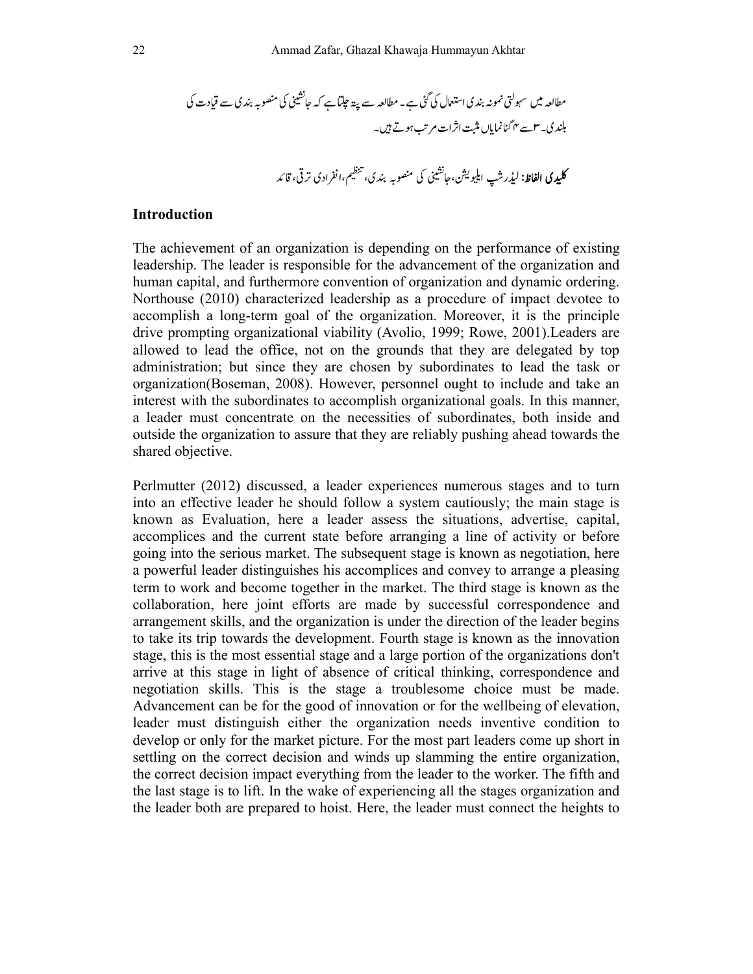I\* HN mno i\*j\_
- í\*Nméèêë - Só/ò9Iô îïñ8ì Nà É OPkpq N°k)kNm no \* ijkü†ùû ú öõ Ns

### **Introduction**

The achievement of an organization is depending on the performance of existing leadership. The leader is responsible for the advancement of the organization and human capital, and furthermore convention of organization and dynamic ordering. Northouse (2010) characterized leadership as a procedure of impact devotee to accomplish a long-term goal of the organization. Moreover, it is the principle drive prompting organizational viability (Avolio, 1999; Rowe, 2001).Leaders are allowed to lead the office, not on the grounds that they are delegated by top administration; but since they are chosen by subordinates to lead the task or organization(Boseman, 2008). However, personnel ought to include and take an interest with the subordinates to accomplish organizational goals. In this manner, a leader must concentrate on the necessities of subordinates, both inside and outside the organization to assure that they are reliably pushing ahead towards the shared objective.

Perlmutter (2012) discussed, a leader experiences numerous stages and to turn into an effective leader he should follow a system cautiously; the main stage is known as Evaluation, here a leader assess the situations, advertise, capital, accomplices and the current state before arranging a line of activity or before going into the serious market. The subsequent stage is known as negotiation, here a powerful leader distinguishes his accomplices and convey to arrange a pleasing term to work and become together in the market. The third stage is known as the collaboration, here joint efforts are made by successful correspondence and arrangement skills, and the organization is under the direction of the leader begins to take its trip towards the development. Fourth stage is known as the innovation stage, this is the most essential stage and a large portion of the organizations don't arrive at this stage in light of absence of critical thinking, correspondence and negotiation skills. This is the stage a troublesome choice must be made. Advancement can be for the good of innovation or for the wellbeing of elevation, leader must distinguish either the organization needs inventive condition to develop or only for the market picture. For the most part leaders come up short in settling on the correct decision and winds up slamming the entire organization, the correct decision impact everything from the leader to the worker. The fifth and the last stage is to lift. In the wake of experiencing all the stages organization and the leader both are prepared to hoist. Here, the leader must connect the heights to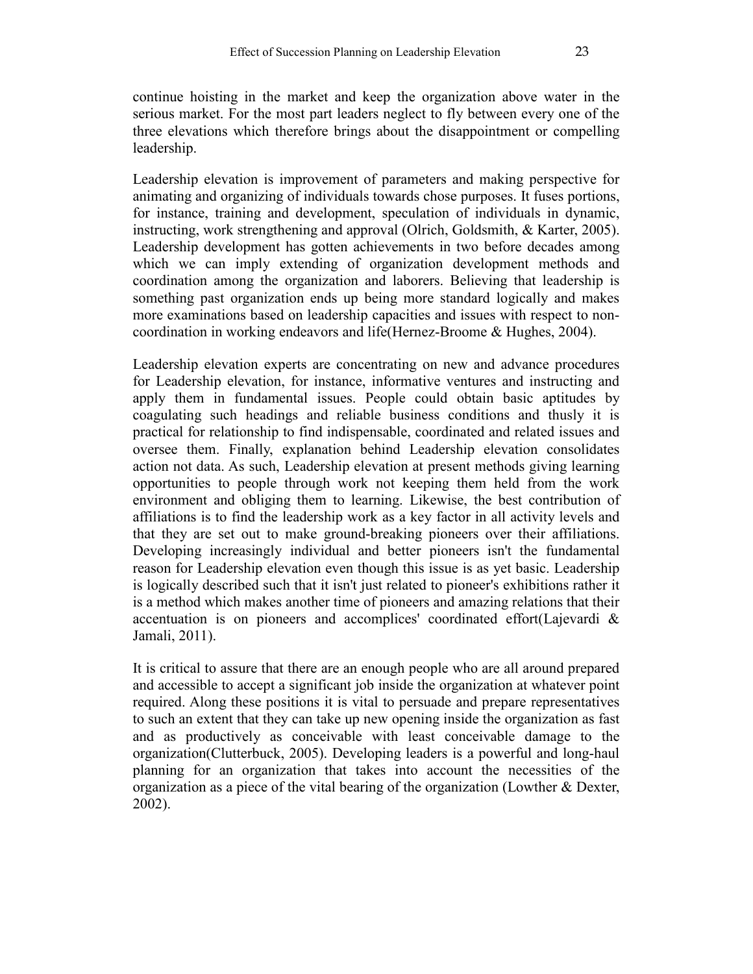continue hoisting in the market and keep the organization above water in the serious market. For the most part leaders neglect to fly between every one of the three elevations which therefore brings about the disappointment or compelling leadership.

Leadership elevation is improvement of parameters and making perspective for animating and organizing of individuals towards chose purposes. It fuses portions, for instance, training and development, speculation of individuals in dynamic, instructing, work strengthening and approval (Olrich, Goldsmith, & Karter, 2005). Leadership development has gotten achievements in two before decades among which we can imply extending of organization development methods and coordination among the organization and laborers. Believing that leadership is something past organization ends up being more standard logically and makes more examinations based on leadership capacities and issues with respect to noncoordination in working endeavors and life(Hernez-Broome & Hughes, 2004).

Leadership elevation experts are concentrating on new and advance procedures for Leadership elevation, for instance, informative ventures and instructing and apply them in fundamental issues. People could obtain basic aptitudes by coagulating such headings and reliable business conditions and thusly it is practical for relationship to find indispensable, coordinated and related issues and oversee them. Finally, explanation behind Leadership elevation consolidates action not data. As such, Leadership elevation at present methods giving learning opportunities to people through work not keeping them held from the work environment and obliging them to learning. Likewise, the best contribution of affiliations is to find the leadership work as a key factor in all activity levels and that they are set out to make ground-breaking pioneers over their affiliations. Developing increasingly individual and better pioneers isn't the fundamental reason for Leadership elevation even though this issue is as yet basic. Leadership is logically described such that it isn't just related to pioneer's exhibitions rather it is a method which makes another time of pioneers and amazing relations that their accentuation is on pioneers and accomplices' coordinated effort(Lajevardi & Jamali, 2011).

It is critical to assure that there are an enough people who are all around prepared and accessible to accept a significant job inside the organization at whatever point required. Along these positions it is vital to persuade and prepare representatives to such an extent that they can take up new opening inside the organization as fast and as productively as conceivable with least conceivable damage to the organization(Clutterbuck, 2005). Developing leaders is a powerful and long-haul planning for an organization that takes into account the necessities of the organization as a piece of the vital bearing of the organization (Lowther & Dexter, 2002).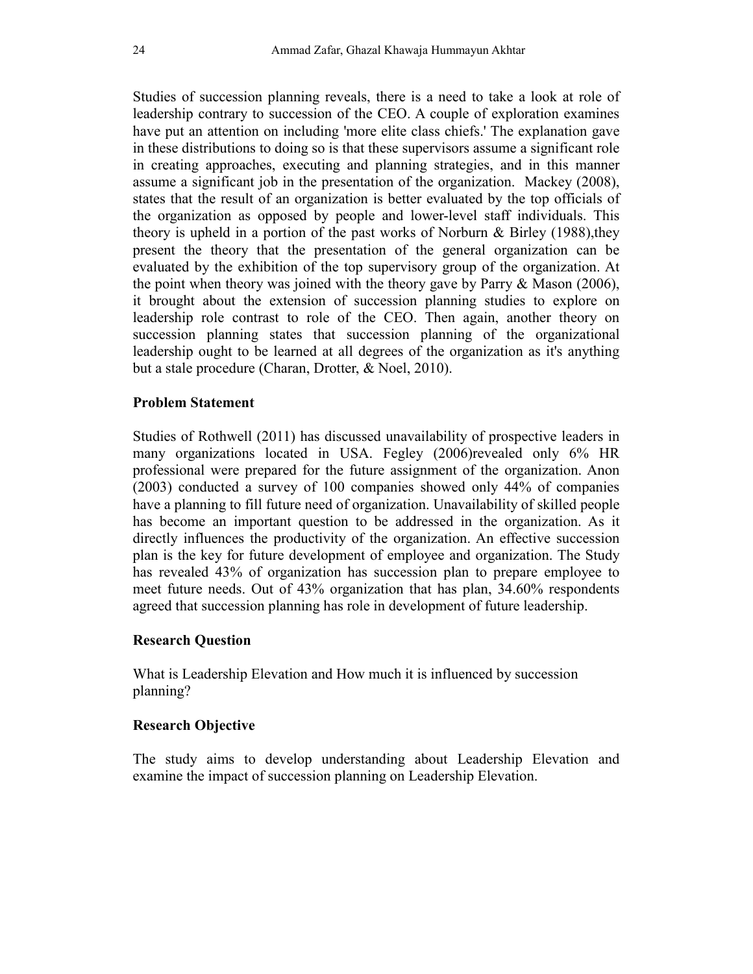Studies of succession planning reveals, there is a need to take a look at role of leadership contrary to succession of the CEO. A couple of exploration examines have put an attention on including 'more elite class chiefs.' The explanation gave in these distributions to doing so is that these supervisors assume a significant role in creating approaches, executing and planning strategies, and in this manner assume a significant job in the presentation of the organization. Mackey (2008), states that the result of an organization is better evaluated by the top officials of the organization as opposed by people and lower-level staff individuals. This theory is upheld in a portion of the past works of Norburn  $\&$  Birley (1988), they present the theory that the presentation of the general organization can be evaluated by the exhibition of the top supervisory group of the organization. At the point when theory was joined with the theory gave by Parry & Mason (2006), it brought about the extension of succession planning studies to explore on leadership role contrast to role of the CEO. Then again, another theory on succession planning states that succession planning of the organizational leadership ought to be learned at all degrees of the organization as it's anything but a stale procedure (Charan, Drotter, & Noel, 2010).

### **Problem Statement**

Studies of Rothwell (2011) has discussed unavailability of prospective leaders in many organizations located in USA. Fegley (2006)revealed only 6% HR professional were prepared for the future assignment of the organization. Anon (2003) conducted a survey of 100 companies showed only 44% of companies have a planning to fill future need of organization. Unavailability of skilled people has become an important question to be addressed in the organization. As it directly influences the productivity of the organization. An effective succession plan is the key for future development of employee and organization. The Study has revealed 43% of organization has succession plan to prepare employee to meet future needs. Out of 43% organization that has plan, 34.60% respondents agreed that succession planning has role in development of future leadership.

### **Research Question**

What is Leadership Elevation and How much it is influenced by succession planning?

### **Research Objective**

The study aims to develop understanding about Leadership Elevation and examine the impact of succession planning on Leadership Elevation.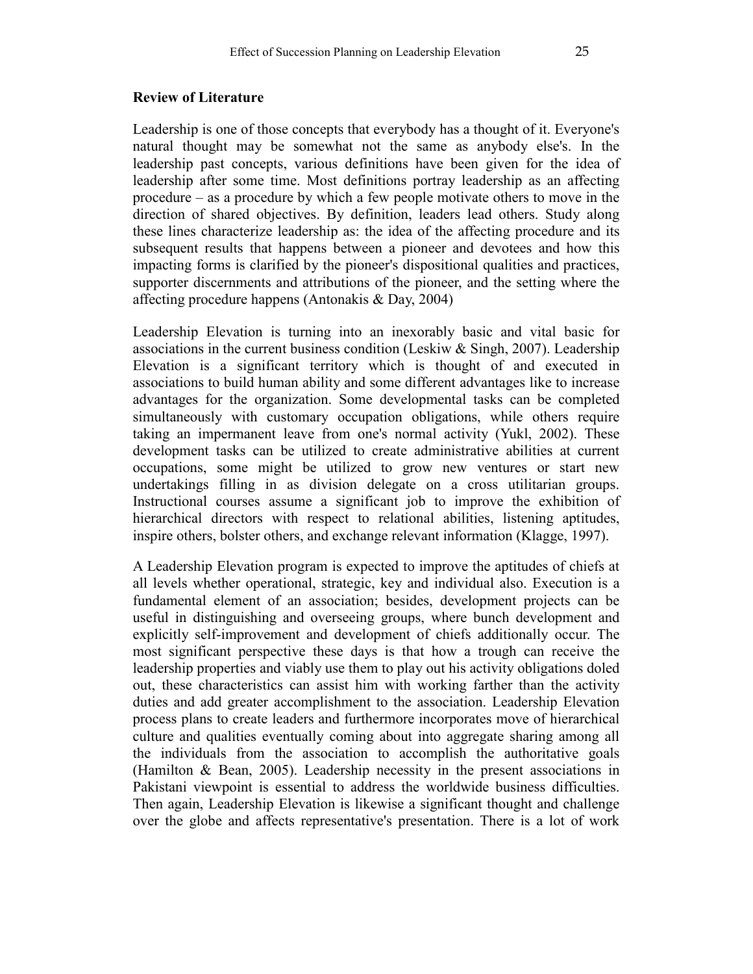### **Review of Literature**

Leadership is one of those concepts that everybody has a thought of it. Everyone's natural thought may be somewhat not the same as anybody else's. In the leadership past concepts, various definitions have been given for the idea of leadership after some time. Most definitions portray leadership as an affecting procedure – as a procedure by which a few people motivate others to move in the direction of shared objectives. By definition, leaders lead others. Study along these lines characterize leadership as: the idea of the affecting procedure and its subsequent results that happens between a pioneer and devotees and how this impacting forms is clarified by the pioneer's dispositional qualities and practices, supporter discernments and attributions of the pioneer, and the setting where the affecting procedure happens (Antonakis & Day, 2004)

Leadership Elevation is turning into an inexorably basic and vital basic for associations in the current business condition (Leskiw & Singh, 2007). Leadership Elevation is a significant territory which is thought of and executed in associations to build human ability and some different advantages like to increase advantages for the organization. Some developmental tasks can be completed simultaneously with customary occupation obligations, while others require taking an impermanent leave from one's normal activity (Yukl, 2002). These development tasks can be utilized to create administrative abilities at current occupations, some might be utilized to grow new ventures or start new undertakings filling in as division delegate on a cross utilitarian groups. Instructional courses assume a significant job to improve the exhibition of hierarchical directors with respect to relational abilities, listening aptitudes, inspire others, bolster others, and exchange relevant information (Klagge, 1997).

A Leadership Elevation program is expected to improve the aptitudes of chiefs at all levels whether operational, strategic, key and individual also. Execution is a fundamental element of an association; besides, development projects can be useful in distinguishing and overseeing groups, where bunch development and explicitly self-improvement and development of chiefs additionally occur. The most significant perspective these days is that how a trough can receive the leadership properties and viably use them to play out his activity obligations doled out, these characteristics can assist him with working farther than the activity duties and add greater accomplishment to the association. Leadership Elevation process plans to create leaders and furthermore incorporates move of hierarchical culture and qualities eventually coming about into aggregate sharing among all the individuals from the association to accomplish the authoritative goals (Hamilton & Bean, 2005). Leadership necessity in the present associations in Pakistani viewpoint is essential to address the worldwide business difficulties. Then again, Leadership Elevation is likewise a significant thought and challenge over the globe and affects representative's presentation. There is a lot of work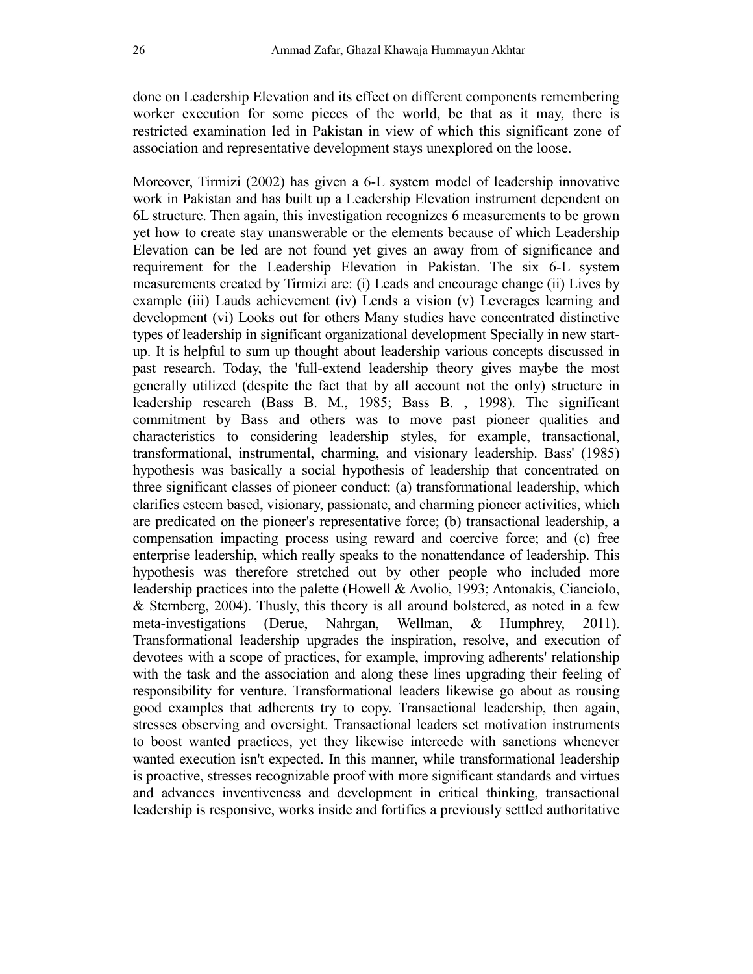done on Leadership Elevation and its effect on different components remembering worker execution for some pieces of the world, be that as it may, there is restricted examination led in Pakistan in view of which this significant zone of association and representative development stays unexplored on the loose.

Moreover, Tirmizi (2002) has given a 6-L system model of leadership innovative work in Pakistan and has built up a Leadership Elevation instrument dependent on 6L structure. Then again, this investigation recognizes 6 measurements to be grown yet how to create stay unanswerable or the elements because of which Leadership Elevation can be led are not found yet gives an away from of significance and requirement for the Leadership Elevation in Pakistan. The six 6-L system measurements created by Tirmizi are: (i) Leads and encourage change (ii) Lives by example (iii) Lauds achievement (iv) Lends a vision (v) Leverages learning and development (vi) Looks out for others Many studies have concentrated distinctive types of leadership in significant organizational development Specially in new startup. It is helpful to sum up thought about leadership various concepts discussed in past research. Today, the 'full-extend leadership theory gives maybe the most generally utilized (despite the fact that by all account not the only) structure in leadership research (Bass B. M., 1985; Bass B. , 1998). The significant commitment by Bass and others was to move past pioneer qualities and characteristics to considering leadership styles, for example, transactional, transformational, instrumental, charming, and visionary leadership. Bass' (1985) hypothesis was basically a social hypothesis of leadership that concentrated on three significant classes of pioneer conduct: (a) transformational leadership, which clarifies esteem based, visionary, passionate, and charming pioneer activities, which are predicated on the pioneer's representative force; (b) transactional leadership, a compensation impacting process using reward and coercive force; and (c) free enterprise leadership, which really speaks to the nonattendance of leadership. This hypothesis was therefore stretched out by other people who included more leadership practices into the palette (Howell & Avolio, 1993; Antonakis, Cianciolo, & Sternberg, 2004). Thusly, this theory is all around bolstered, as noted in a few meta-investigations (Derue, Nahrgan, Wellman, & Humphrey, 2011). Transformational leadership upgrades the inspiration, resolve, and execution of devotees with a scope of practices, for example, improving adherents' relationship with the task and the association and along these lines upgrading their feeling of responsibility for venture. Transformational leaders likewise go about as rousing good examples that adherents try to copy. Transactional leadership, then again, stresses observing and oversight. Transactional leaders set motivation instruments to boost wanted practices, yet they likewise intercede with sanctions whenever wanted execution isn't expected. In this manner, while transformational leadership is proactive, stresses recognizable proof with more significant standards and virtues and advances inventiveness and development in critical thinking, transactional leadership is responsive, works inside and fortifies a previously settled authoritative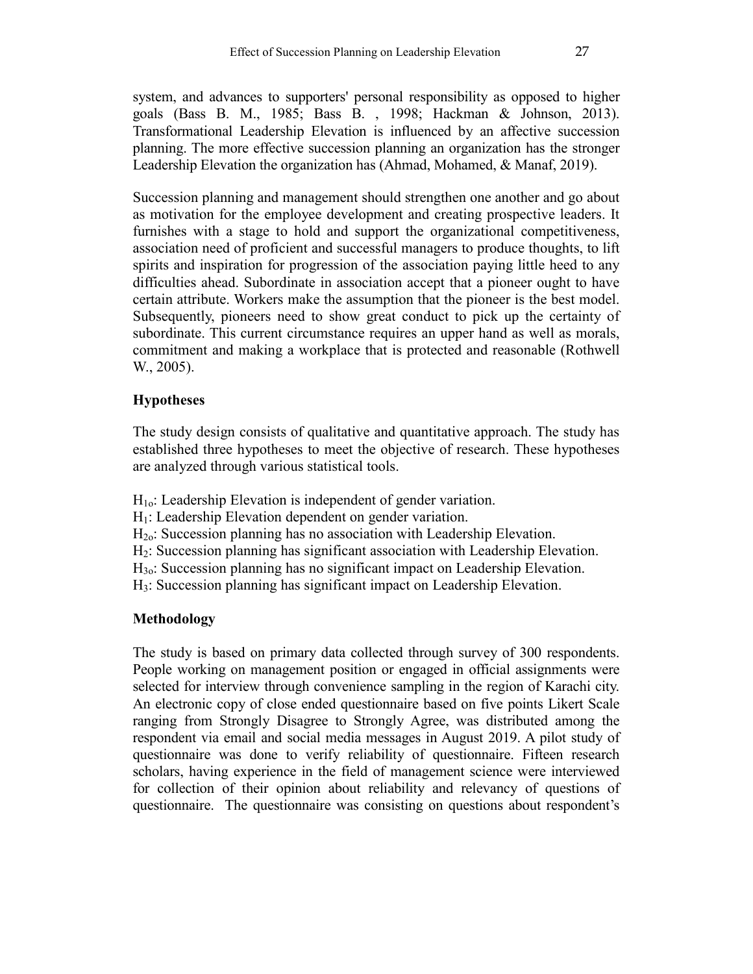system, and advances to supporters' personal responsibility as opposed to higher goals (Bass B. M., 1985; Bass B. , 1998; Hackman & Johnson, 2013). Transformational Leadership Elevation is influenced by an affective succession planning. The more effective succession planning an organization has the stronger Leadership Elevation the organization has (Ahmad, Mohamed, & Manaf, 2019).

Succession planning and management should strengthen one another and go about as motivation for the employee development and creating prospective leaders. It furnishes with a stage to hold and support the organizational competitiveness, association need of proficient and successful managers to produce thoughts, to lift spirits and inspiration for progression of the association paying little heed to any difficulties ahead. Subordinate in association accept that a pioneer ought to have certain attribute. Workers make the assumption that the pioneer is the best model. Subsequently, pioneers need to show great conduct to pick up the certainty of subordinate. This current circumstance requires an upper hand as well as morals, commitment and making a workplace that is protected and reasonable (Rothwell W., 2005).

## **Hypotheses**

The study design consists of qualitative and quantitative approach. The study has established three hypotheses to meet the objective of research. These hypotheses are analyzed through various statistical tools.

 $H_{10}$ : Leadership Elevation is independent of gender variation.

- $H<sub>1</sub>$ : Leadership Elevation dependent on gender variation.
- H2o: Succession planning has no association with Leadership Elevation.
- H2: Succession planning has significant association with Leadership Elevation.
- H3o: Succession planning has no significant impact on Leadership Elevation.
- H3: Succession planning has significant impact on Leadership Elevation.

## **Methodology**

The study is based on primary data collected through survey of 300 respondents. People working on management position or engaged in official assignments were selected for interview through convenience sampling in the region of Karachi city. An electronic copy of close ended questionnaire based on five points Likert Scale ranging from Strongly Disagree to Strongly Agree, was distributed among the respondent via email and social media messages in August 2019. A pilot study of questionnaire was done to verify reliability of questionnaire. Fifteen research scholars, having experience in the field of management science were interviewed for collection of their opinion about reliability and relevancy of questions of questionnaire. The questionnaire was consisting on questions about respondent's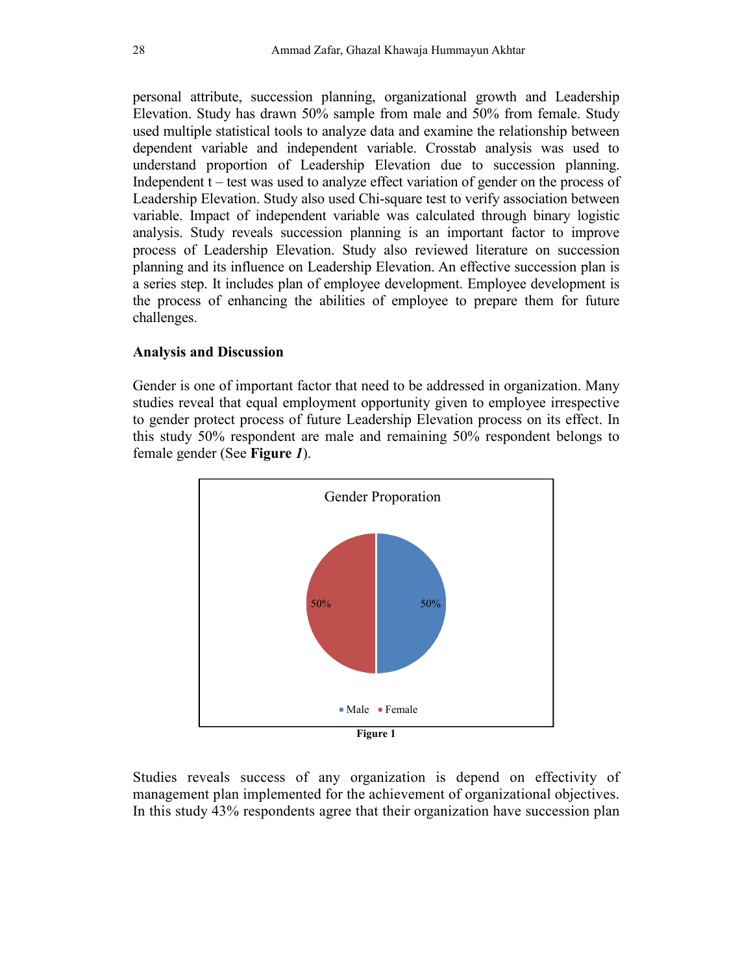personal attribute, succession planning, organizational growth and Leadership Elevation. Study has drawn 50% sample from male and 50% from female. Study used multiple statistical tools to analyze data and examine the relationship between dependent variable and independent variable. Crosstab analysis was used to understand proportion of Leadership Elevation due to succession planning. Independent t – test was used to analyze effect variation of gender on the process of Leadership Elevation. Study also used Chi-square test to verify association between variable. Impact of independent variable was calculated through binary logistic analysis. Study reveals succession planning is an important factor to improve process of Leadership Elevation. Study also reviewed literature on succession planning and its influence on Leadership Elevation. An effective succession plan is a series step. It includes plan of employee development. Employee development is the process of enhancing the abilities of employee to prepare them for future challenges.

### **Analysis and Discussion**

Gender is one of important factor that need to be addressed in organization. Many studies reveal that equal employment opportunity given to employee irrespective to gender protect process of future Leadership Elevation process on its effect. In this study 50% respondent are male and remaining 50% respondent belongs to female gender (See **Figure** *1*).



Studies reveals success of any organization is depend on effectivity of management plan implemented for the achievement of organizational objectives. In this study 43% respondents agree that their organization have succession plan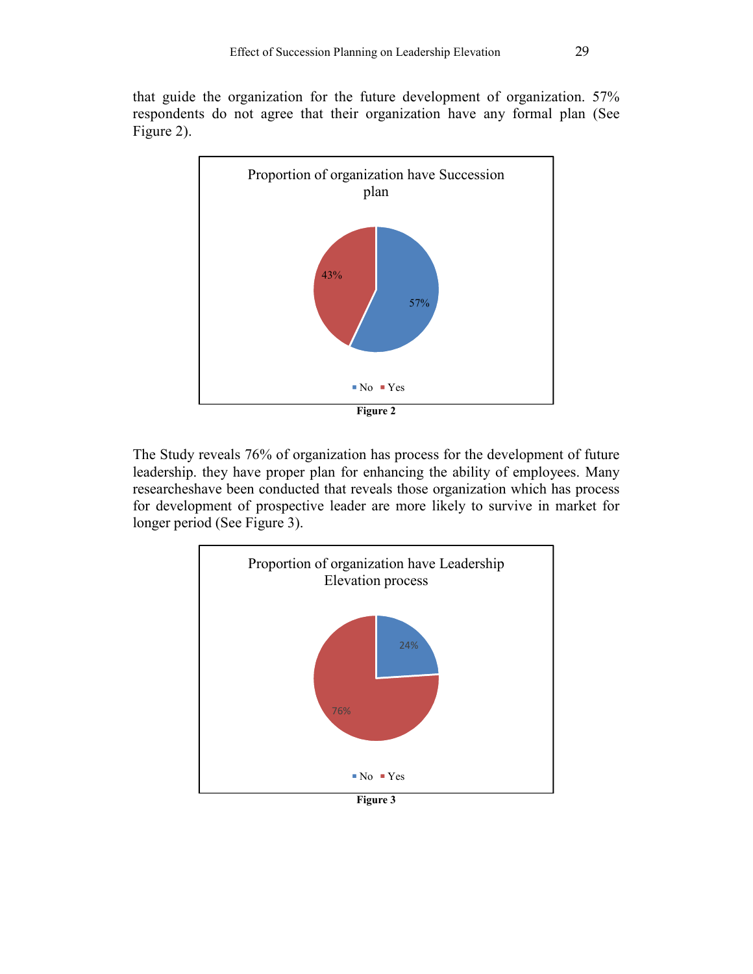that guide the organization for the future development of organization. 57% respondents do not agree that their organization have any formal plan (See Figure 2).



The Study reveals 76% of organization has process for the development of future leadership. they have proper plan for enhancing the ability of employees. Many researcheshave been conducted that reveals those organization which has process for development of prospective leader are more likely to survive in market for longer period (See Figure 3).

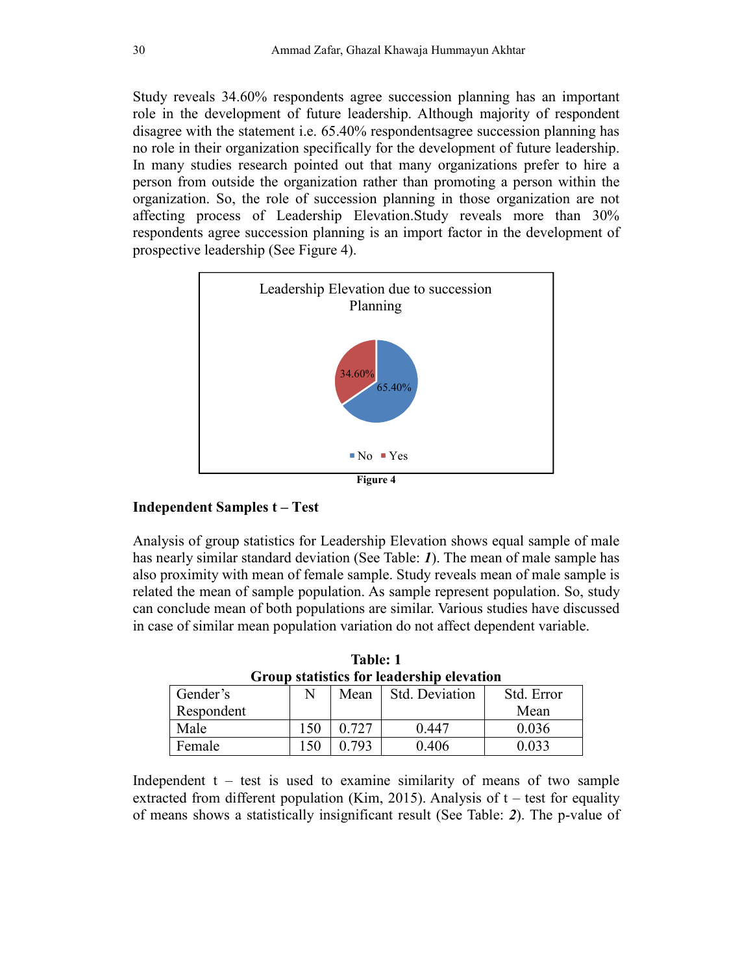Study reveals 34.60% respondents agree succession planning has an important role in the development of future leadership. Although majority of respondent disagree with the statement i.e. 65.40% respondentsagree succession planning has no role in their organization specifically for the development of future leadership. In many studies research pointed out that many organizations prefer to hire a person from outside the organization rather than promoting a person within the organization. So, the role of succession planning in those organization are not affecting process of Leadership Elevation.Study reveals more than 30% respondents agree succession planning is an import factor in the development of prospective leadership (See Figure 4).



## **Independent Samples t – Test**

Analysis of group statistics for Leadership Elevation shows equal sample of male has nearly similar standard deviation (See Table: *1*). The mean of male sample has also proximity with mean of female sample. Study reveals mean of male sample is related the mean of sample population. As sample represent population. So, study can conclude mean of both populations are similar. Various studies have discussed in case of similar mean population variation do not affect dependent variable.

| Group statistics for leadership elevation |    |       |                |            |  |  |  |
|-------------------------------------------|----|-------|----------------|------------|--|--|--|
| Gender's                                  | N  | Mean  | Std. Deviation | Std. Error |  |  |  |
| Respondent                                |    |       |                | Mean       |  |  |  |
| Male                                      | 50 | 0.727 | 0.447          | 0.036      |  |  |  |
| Female                                    | 50 | በ 793 | 0.406          | 0 033      |  |  |  |

**Table: 1 Group statistics for leadership elevation** 

Independent  $t - \text{test}$  is used to examine similarity of means of two sample extracted from different population (Kim, 2015). Analysis of  $t$  – test for equality of means shows a statistically insignificant result (See Table: *2*). The p-value of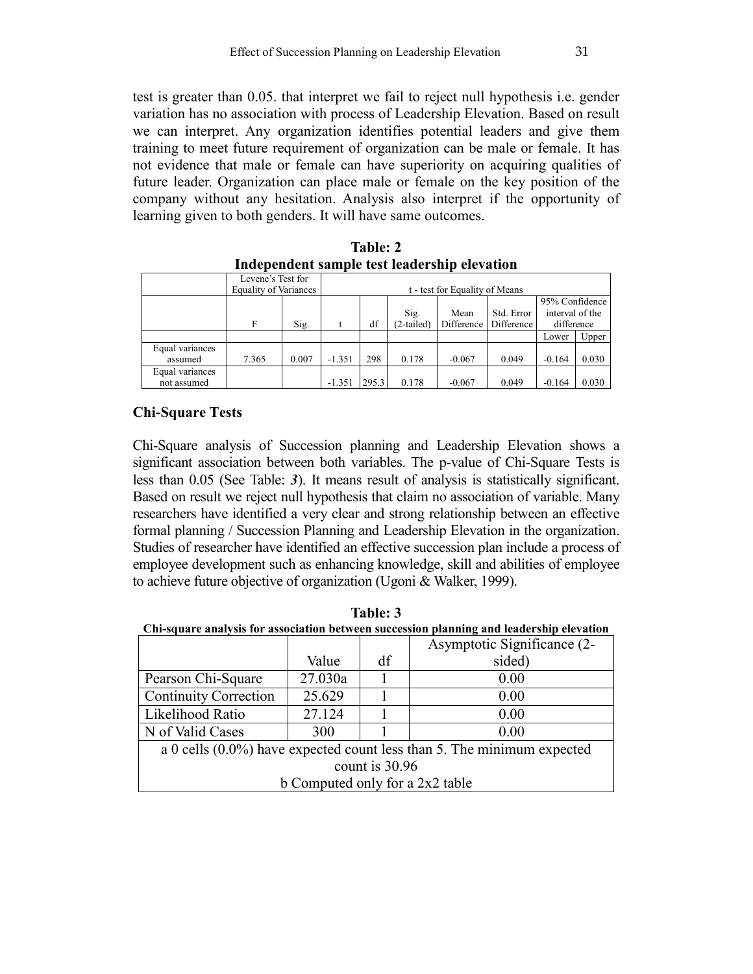test is greater than 0.05. that interpret we fail to reject null hypothesis i.e. gender variation has no association with process of Leadership Elevation. Based on result we can interpret. Any organization identifies potential leaders and give them training to meet future requirement of organization can be male or female. It has not evidence that male or female can have superiority on acquiring qualities of future leader. Organization can place male or female on the key position of the company without any hesitation. Analysis also interpret if the opportunity of learning given to both genders. It will have same outcomes.

|                 | Levene's Test for            |                                |                |       |            |            |            |                 |       |
|-----------------|------------------------------|--------------------------------|----------------|-------|------------|------------|------------|-----------------|-------|
|                 | <b>Equality of Variances</b> | t - test for Equality of Means |                |       |            |            |            |                 |       |
|                 |                              |                                | 95% Confidence |       |            |            |            |                 |       |
|                 |                              |                                |                |       | Sig.       | Mean       | Std. Error | interval of the |       |
|                 | F                            | Sig.                           |                | df    | (2-tailed) | Difference | Difference | difference      |       |
|                 |                              |                                |                |       |            |            |            | Lower           | Upper |
| Equal variances |                              |                                |                |       |            |            |            |                 |       |
| assumed         | 7.365                        | 0.007                          | $-1.351$       | 298   | 0.178      | $-0.067$   | 0.049      | $-0.164$        | 0.030 |
| Equal variances |                              |                                |                |       |            |            |            |                 |       |
| not assumed     |                              |                                | $-1.351$       | 295.3 | 0.178      | $-0.067$   | 0.049      | $-0.164$        | 0.030 |

**Table: 2 Independent sample test leadership elevation** 

## **Chi-Square Tests**

Chi-Square analysis of Succession planning and Leadership Elevation shows a significant association between both variables. The p-value of Chi-Square Tests is less than 0.05 (See Table: *3*). It means result of analysis is statistically significant. Based on result we reject null hypothesis that claim no association of variable. Many researchers have identified a very clear and strong relationship between an effective formal planning / Succession Planning and Leadership Elevation in the organization. Studies of researcher have identified an effective succession plan include a process of employee development such as enhancing knowledge, skill and abilities of employee to achieve future objective of organization (Ugoni & Walker, 1999).

| 10U.V. V                                                                                 |        |    |                             |  |  |  |  |
|------------------------------------------------------------------------------------------|--------|----|-----------------------------|--|--|--|--|
| Chi-square analysis for association between succession planning and leadership elevation |        |    |                             |  |  |  |  |
|                                                                                          |        |    | Asymptotic Significance (2- |  |  |  |  |
|                                                                                          | Value  | df | sided)                      |  |  |  |  |
| 27.030a<br>Pearson Chi-Square<br>0.00                                                    |        |    |                             |  |  |  |  |
| <b>Continuity Correction</b>                                                             | 25.629 |    | 0.00                        |  |  |  |  |
| Likelihood Ratio                                                                         | 27.124 |    | 0.00                        |  |  |  |  |
| N of Valid Cases<br>300<br>0.00                                                          |        |    |                             |  |  |  |  |
| a 0 cells $(0.0\%)$ have expected count less than 5. The minimum expected                |        |    |                             |  |  |  |  |
| count is 30.96                                                                           |        |    |                             |  |  |  |  |
| b Computed only for a 2x2 table                                                          |        |    |                             |  |  |  |  |

**Table: 3**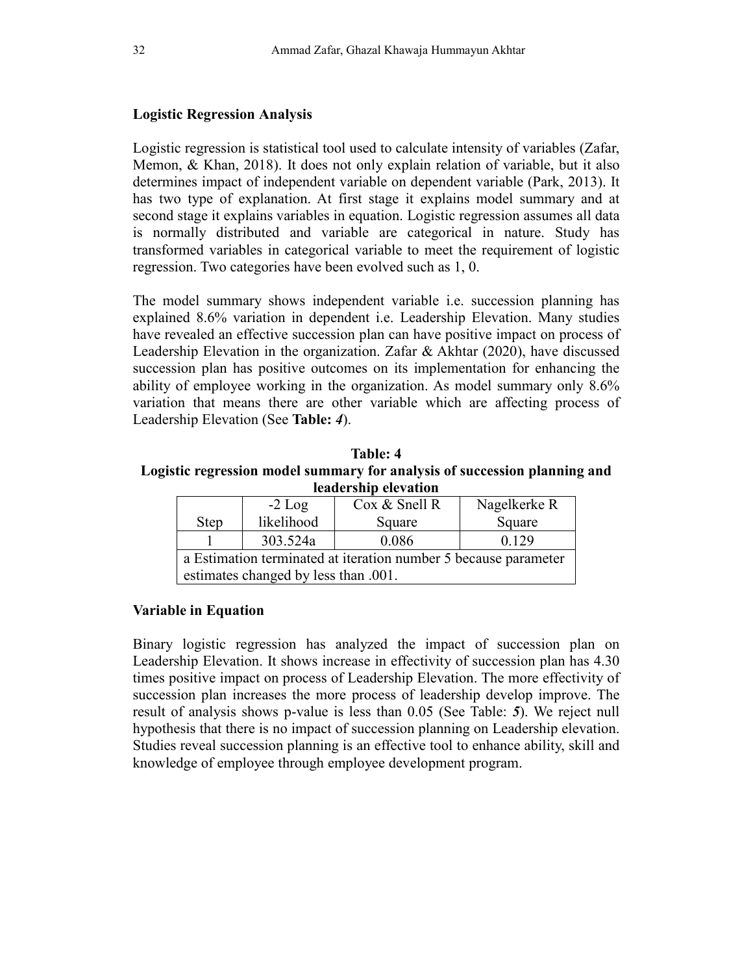### **Logistic Regression Analysis**

Logistic regression is statistical tool used to calculate intensity of variables (Zafar, Memon, & Khan, 2018). It does not only explain relation of variable, but it also determines impact of independent variable on dependent variable (Park, 2013). It has two type of explanation. At first stage it explains model summary and at second stage it explains variables in equation. Logistic regression assumes all data is normally distributed and variable are categorical in nature. Study has transformed variables in categorical variable to meet the requirement of logistic regression. Two categories have been evolved such as 1, 0.

The model summary shows independent variable i.e. succession planning has explained 8.6% variation in dependent i.e. Leadership Elevation. Many studies have revealed an effective succession plan can have positive impact on process of Leadership Elevation in the organization. Zafar & Akhtar (2020), have discussed succession plan has positive outcomes on its implementation for enhancing the ability of employee working in the organization. As model summary only 8.6% variation that means there are other variable which are affecting process of Leadership Elevation (See **Table:** *4*).

**Table: 4 Logistic regression model summary for analysis of succession planning and leadership elevation** 

|                                                                 | $-2$ Log   | Cox & Snell R | Nagelkerke R |  |  |  |  |
|-----------------------------------------------------------------|------------|---------------|--------------|--|--|--|--|
| <b>Step</b>                                                     | likelihood | Square        | Square       |  |  |  |  |
|                                                                 | 303.524a   | 0.086         | 0.129        |  |  |  |  |
| a Estimation terminated at iteration number 5 because parameter |            |               |              |  |  |  |  |
| estimates changed by less than .001.                            |            |               |              |  |  |  |  |

### **Variable in Equation**

Binary logistic regression has analyzed the impact of succession plan on Leadership Elevation. It shows increase in effectivity of succession plan has 4.30 times positive impact on process of Leadership Elevation. The more effectivity of succession plan increases the more process of leadership develop improve. The result of analysis shows p-value is less than 0.05 (See Table: *5*). We reject null hypothesis that there is no impact of succession planning on Leadership elevation. Studies reveal succession planning is an effective tool to enhance ability, skill and knowledge of employee through employee development program.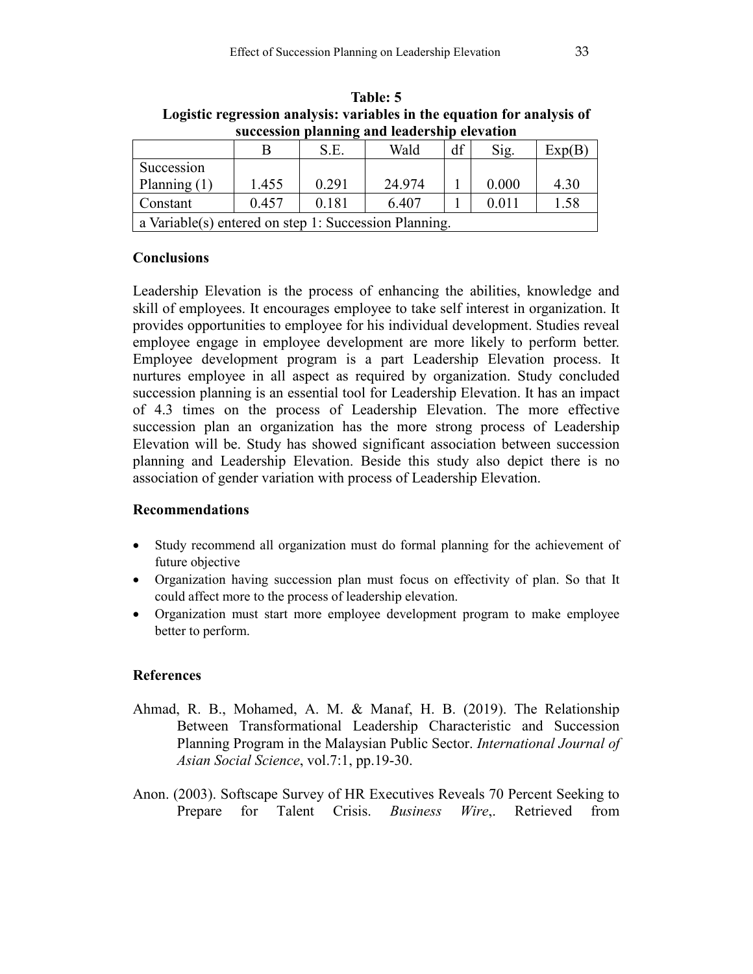| succession planning and icadership cicvation          |       |       |        |    |       |        |  |  |
|-------------------------------------------------------|-------|-------|--------|----|-------|--------|--|--|
|                                                       |       | S.E.  | Wald   | df | Sig.  | Exp(B) |  |  |
| Succession                                            |       |       |        |    |       |        |  |  |
| Planning $(1)$                                        | 1.455 | 0.291 | 24.974 |    | 0.000 | 4.30   |  |  |
| Constant                                              | 0.457 | 0.181 | 6.407  |    | 0.011 | 1.58   |  |  |
| a Variable(s) entered on step 1: Succession Planning. |       |       |        |    |       |        |  |  |

**Table: 5 Logistic regression analysis: variables in the equation for analysis of succession planning and leadership elevation** 

### **Conclusions**

Leadership Elevation is the process of enhancing the abilities, knowledge and skill of employees. It encourages employee to take self interest in organization. It provides opportunities to employee for his individual development. Studies reveal employee engage in employee development are more likely to perform better. Employee development program is a part Leadership Elevation process. It nurtures employee in all aspect as required by organization. Study concluded succession planning is an essential tool for Leadership Elevation. It has an impact of 4.3 times on the process of Leadership Elevation. The more effective succession plan an organization has the more strong process of Leadership Elevation will be. Study has showed significant association between succession planning and Leadership Elevation. Beside this study also depict there is no association of gender variation with process of Leadership Elevation.

## **Recommendations**

- Study recommend all organization must do formal planning for the achievement of future objective
- Organization having succession plan must focus on effectivity of plan. So that It could affect more to the process of leadership elevation.
- Organization must start more employee development program to make employee better to perform.

## **References**

- Ahmad, R. B., Mohamed, A. M. & Manaf, H. B. (2019). The Relationship Between Transformational Leadership Characteristic and Succession Planning Program in the Malaysian Public Sector. *International Journal of Asian Social Science*, vol.7:1, pp.19-30.
- Anon. (2003). Softscape Survey of HR Executives Reveals 70 Percent Seeking to Prepare for Talent Crisis. *Business Wire*,. Retrieved from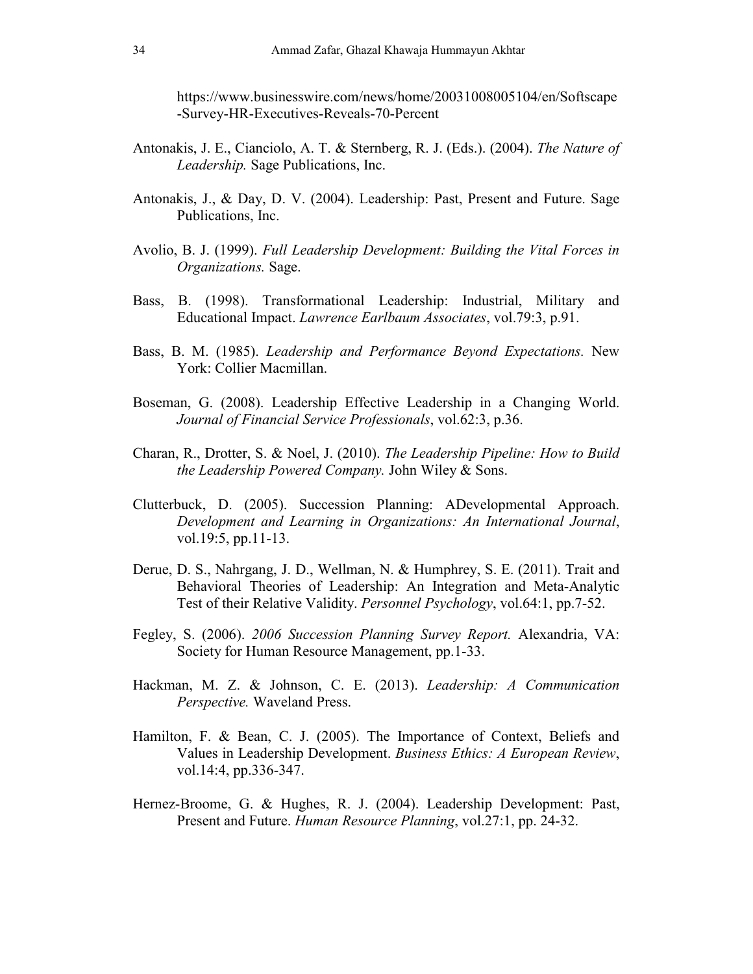https://www.businesswire.com/news/home/20031008005104/en/Softscape -Survey-HR-Executives-Reveals-70-Percent

- Antonakis, J. E., Cianciolo, A. T. & Sternberg, R. J. (Eds.). (2004). *The Nature of Leadership.* Sage Publications, Inc.
- Antonakis, J., & Day, D. V. (2004). Leadership: Past, Present and Future. Sage Publications, Inc.
- Avolio, B. J. (1999). *Full Leadership Development: Building the Vital Forces in Organizations.* Sage.
- Bass, B. (1998). Transformational Leadership: Industrial, Military and Educational Impact. *Lawrence Earlbaum Associates*, vol.79:3, p.91.
- Bass, B. M. (1985). *Leadership and Performance Beyond Expectations.* New York: Collier Macmillan.
- Boseman, G. (2008). Leadership Effective Leadership in a Changing World. *Journal of Financial Service Professionals*, vol.62:3, p.36.
- Charan, R., Drotter, S. & Noel, J. (2010). *The Leadership Pipeline: How to Build the Leadership Powered Company.* John Wiley & Sons.
- Clutterbuck, D. (2005). Succession Planning: ADevelopmental Approach. *Development and Learning in Organizations: An International Journal*, vol.19:5, pp.11-13.
- Derue, D. S., Nahrgang, J. D., Wellman, N. & Humphrey, S. E. (2011). Trait and Behavioral Theories of Leadership: An Integration and Meta-Analytic Test of their Relative Validity. *Personnel Psychology*, vol.64:1, pp.7-52.
- Fegley, S. (2006). *2006 Succession Planning Survey Report.* Alexandria, VA: Society for Human Resource Management, pp.1-33.
- Hackman, M. Z. & Johnson, C. E. (2013). *Leadership: A Communication Perspective.* Waveland Press.
- Hamilton, F. & Bean, C. J. (2005). The Importance of Context, Beliefs and Values in Leadership Development. *Business Ethics: A European Review*, vol.14:4, pp.336-347.
- Hernez-Broome, G. & Hughes, R. J. (2004). Leadership Development: Past, Present and Future. *Human Resource Planning*, vol.27:1, pp. 24-32.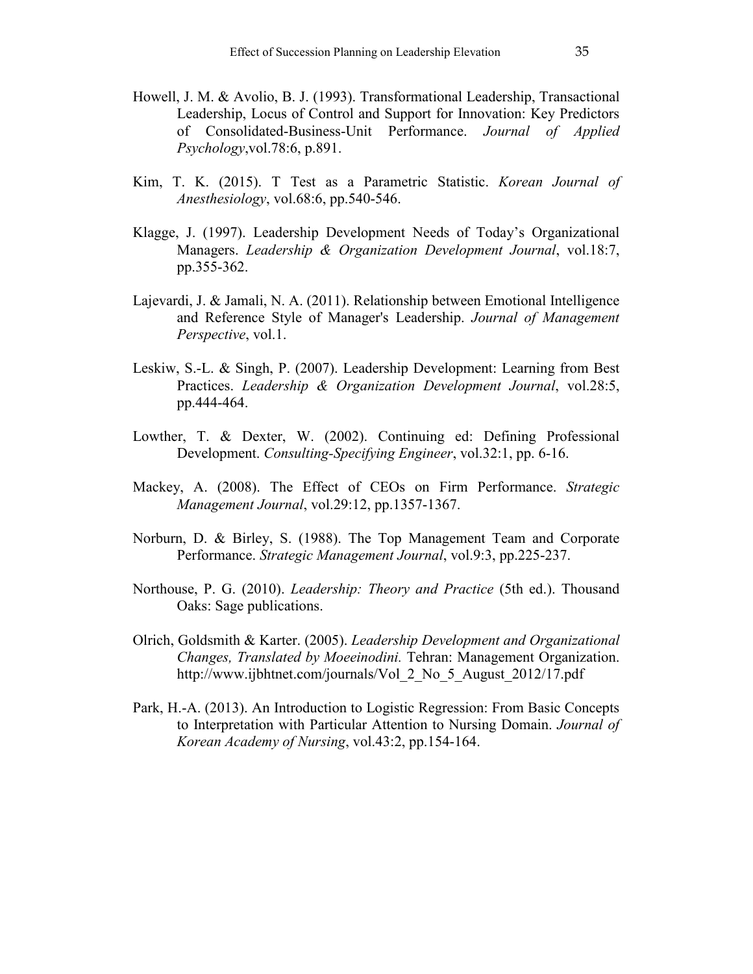- Howell, J. M. & Avolio, B. J. (1993). Transformational Leadership, Transactional Leadership, Locus of Control and Support for Innovation: Key Predictors of Consolidated-Business-Unit Performance. *Journal of Applied Psychology*,vol.78:6, p.891.
- Kim, T. K. (2015). T Test as a Parametric Statistic. *Korean Journal of Anesthesiology*, vol.68:6, pp.540-546.
- Klagge, J. (1997). Leadership Development Needs of Today's Organizational Managers. *Leadership & Organization Development Journal*, vol.18:7, pp.355-362.
- Lajevardi, J. & Jamali, N. A. (2011). Relationship between Emotional Intelligence and Reference Style of Manager's Leadership. *Journal of Management Perspective*, vol.1.
- Leskiw, S.-L. & Singh, P. (2007). Leadership Development: Learning from Best Practices. *Leadership & Organization Development Journal*, vol.28:5, pp.444-464.
- Lowther, T. & Dexter, W. (2002). Continuing ed: Defining Professional Development. *Consulting-Specifying Engineer*, vol.32:1, pp. 6-16.
- Mackey, A. (2008). The Effect of CEOs on Firm Performance. *Strategic Management Journal*, vol.29:12, pp.1357-1367.
- Norburn, D. & Birley, S. (1988). The Top Management Team and Corporate Performance. *Strategic Management Journal*, vol.9:3, pp.225-237.
- Northouse, P. G. (2010). *Leadership: Theory and Practice* (5th ed.). Thousand Oaks: Sage publications.
- Olrich, Goldsmith & Karter. (2005). *Leadership Development and Organizational Changes, Translated by Moeeinodini.* Tehran: Management Organization. http://www.ijbhtnet.com/journals/Vol\_2\_No\_5\_August\_2012/17.pdf
- Park, H.-A. (2013). An Introduction to Logistic Regression: From Basic Concepts to Interpretation with Particular Attention to Nursing Domain. *Journal of Korean Academy of Nursing*, vol.43:2, pp.154-164.